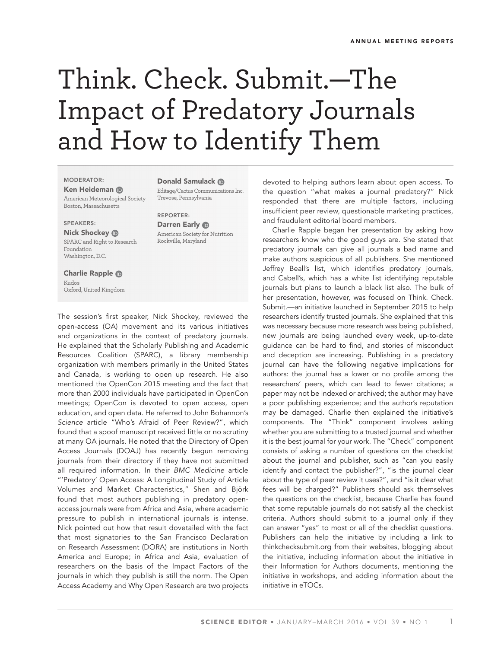## Think. Check. Submit.—The Impact of Predatory Journals and How to Identify Them

MODERATOR:

Ken Heideman

American Meteorological Society Boston, Massachusetts

## SPEAKERS:

Nick Shockey **D** SPARC and Right to Research Foundation Washington, D.C.

Charlie Rapple Kudos Oxford, United Kingdom

Donald Samulack **ID** Editage/Cactus Communications Inc. Trevose, Pennsylvania

REPORTER: Darren Early ® American Society for Nutrition Rockville, Maryland

The session's first speaker, Nick Shockey, reviewed the open-access (OA) movement and its various initiatives and organizations in the context of predatory journals. He explained that the Scholarly Publishing and Academic Resources Coalition (SPARC), a library membership organization with members primarily in the United States and Canada, is working to open up research. He also mentioned the OpenCon 2015 meeting and the fact that more than 2000 individuals have participated in OpenCon meetings; OpenCon is devoted to open access, open education, and open data. He referred to John Bohannon's *Science* article "Who's Afraid of Peer Review?", which found that a spoof manuscript received little or no scrutiny at many OA journals. He noted that the Directory of Open Access Journals (DOAJ) has recently begun removing journals from their directory if they have not submitted all required information. In their *BMC Medicine* article "'Predatory' Open Access: A Longitudinal Study of Article Volumes and Market Characteristics," Shen and Björk found that most authors publishing in predatory openaccess journals were from Africa and Asia, where academic pressure to publish in international journals is intense. Nick pointed out how that result dovetailed with the fact that most signatories to the San Francisco Declaration on Research Assessment (DORA) are institutions in North America and Europe; in Africa and Asia, evaluation of researchers on the basis of the Impact Factors of the journals in which they publish is still the norm. The Open Access Academy and Why Open Research are two projects

devoted to helping authors learn about open access. To the question "what makes a journal predatory?" Nick responded that there are multiple factors, including insufficient peer review, questionable marketing practices, and fraudulent editorial board members.

Charlie Rapple began her presentation by asking how researchers know who the good guys are. She stated that predatory journals can give all journals a bad name and make authors suspicious of all publishers. She mentioned Jeffrey Beall's list, which identifies predatory journals, and Cabell's, which has a white list identifying reputable journals but plans to launch a black list also. The bulk of her presentation, however, was focused on Think. Check. Submit.—an initiative launched in September 2015 to help researchers identify trusted journals. She explained that this was necessary because more research was being published, new journals are being launched every week, up-to-date guidance can be hard to find, and stories of misconduct and deception are increasing. Publishing in a predatory journal can have the following negative implications for authors: the journal has a lower or no profile among the researchers' peers, which can lead to fewer citations; a paper may not be indexed or archived; the author may have a poor publishing experience; and the author's reputation may be damaged. Charlie then explained the initiative's components. The "Think" component involves asking whether you are submitting to a trusted journal and whether it is the best journal for your work. The "Check" component consists of asking a number of questions on the checklist about the journal and publisher, such as "can you easily identify and contact the publisher?", "is the journal clear about the type of peer review it uses?", and "is it clear what fees will be charged?" Publishers should ask themselves the questions on the checklist, because Charlie has found that some reputable journals do not satisfy all the checklist criteria. Authors should submit to a journal only if they can answer "yes" to most or all of the checklist questions. Publishers can help the initiative by including a link to thinkchecksubmit.org from their websites, blogging about the initiative, including information about the initiative in their Information for Authors documents, mentioning the initiative in workshops, and adding information about the initiative in eTOCs.